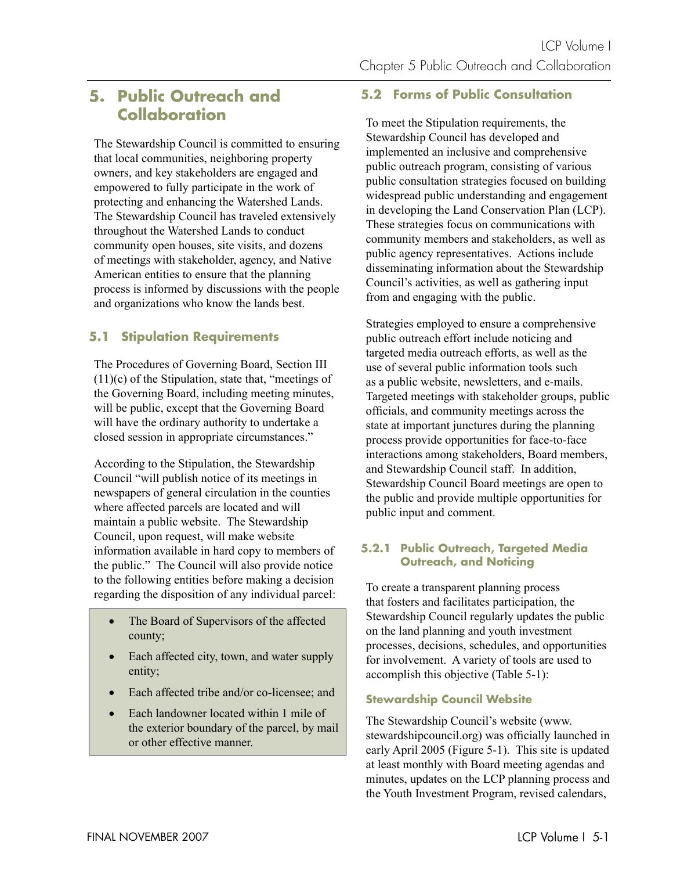# **5. Public Outreach and Collaboration**

The Stewardship Council is committed to ensuring that local communities, neighboring property owners, and key stakeholders are engaged and empowered to fully participate in the work of protecting and enhancing the Watershed Lands. The Stewardship Council has traveled extensively throughout the Watershed Lands to conduct community open houses, site visits, and dozens of meetings with stakeholder, agency, and Native American entities to ensure that the planning process is informed by discussions with the people and organizations who know the lands best.

# **5.1 Stipulation Requirements**

The Procedures of Governing Board, Section III (11)(c) of the Stipulation, state that, "meetings of the Governing Board, including meeting minutes, will be public, except that the Governing Board will have the ordinary authority to undertake a closed session in appropriate circumstances."

According to the Stipulation, the Stewardship Council "will publish notice of its meetings in newspapers of general circulation in the counties where affected parcels are located and will maintain a public website. The Stewardship Council, upon request, will make website information available in hard copy to members of the public." The Council will also provide notice to the following entities before making a decision regarding the disposition of any individual parcel:

- The Board of Supervisors of the affected county;
- Each affected city, town, and water supply entity;
- Each affected tribe and/or co-licensee; and
- Each landowner located within 1 mile of the exterior boundary of the parcel, by mail or other effective manner.

# **5.2 Forms of Public Consultation**

To meet the Stipulation requirements, the Stewardship Council has developed and implemented an inclusive and comprehensive public outreach program, consisting of various public consultation strategies focused on building widespread public understanding and engagement in developing the Land Conservation Plan (LCP). These strategies focus on communications with community members and stakeholders, as well as public agency representatives. Actions include disseminating information about the Stewardship Council's activities, as well as gathering input from and engaging with the public.

Strategies employed to ensure a comprehensive public outreach effort include noticing and targeted media outreach efforts, as well as the use of several public information tools such as a public website, newsletters, and e-mails. Targeted meetings with stakeholder groups, public officials, and community meetings across the state at important junctures during the planning process provide opportunities for face-to-face interactions among stakeholders, Board members, and Stewardship Council staff. In addition, Stewardship Council Board meetings are open to the public and provide multiple opportunities for public input and comment.

## **5.2.1 Public Outreach, Targeted Media Outreach, and Noticing**

To create a transparent planning process that fosters and facilitates participation, the Stewardship Council regularly updates the public on the land planning and youth investment processes, decisions, schedules, and opportunities for involvement. A variety of tools are used to accomplish this objective (Table 5-1):

### **Stewardship Council Website**

The Stewardship Council's website (www. stewardshipcouncil.org) was officially launched in early April 2005 (Figure 5-1). This site is updated at least monthly with Board meeting agendas and minutes, updates on the LCP planning process and the Youth Investment Program, revised calendars,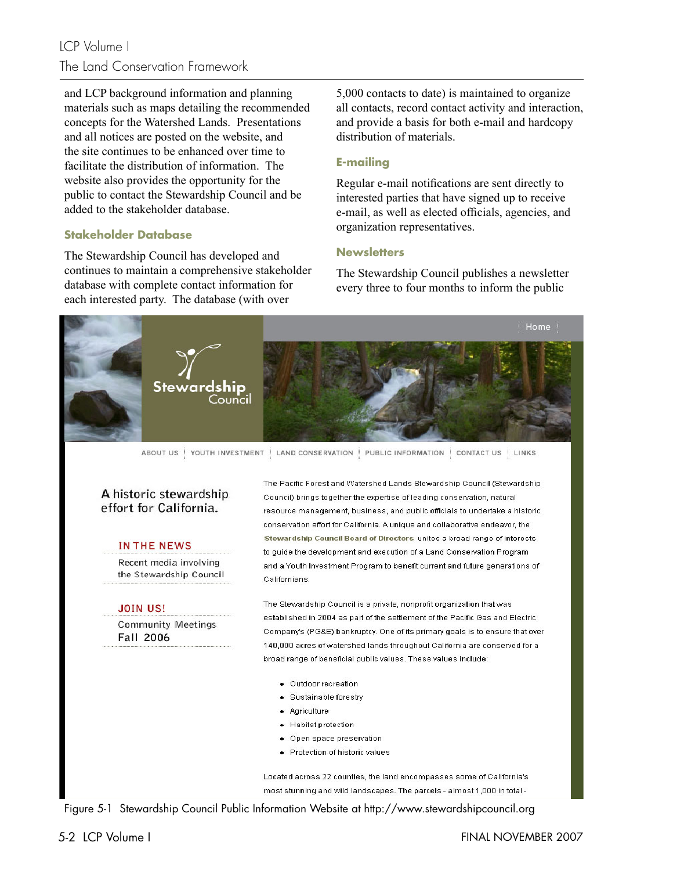# LCP Volume I The Land Conservation Framework

and LCP background information and planning materials such as maps detailing the recommended concepts for the Watershed Lands. Presentations and all notices are posted on the website, and the site continues to be enhanced over time to facilitate the distribution of information. The website also provides the opportunity for the public to contact the Stewardship Council and be added to the stakeholder database.

### **Stakeholder Database**

The Stewardship Council has developed and continues to maintain a comprehensive stakeholder database with complete contact information for each interested party. The database (with over

5,000 contacts to date) is maintained to organize all contacts, record contact activity and interaction, and provide a basis for both e-mail and hardcopy distribution of materials.

### **E-mailing**

Regular e-mail notifications are sent directly to interested parties that have signed up to receive e-mail, as well as elected officials, agencies, and organization representatives.

#### **Newsletters**

The Stewardship Council publishes a newsletter every three to four months to inform the public



ABOUT US | YOUTH INVESTMENT | LAND CONSERVATION | PUBLIC INFORMATION | CONTACT US | LINKS

## A historic stewardship effort for California.

#### **IN THE NEWS**

Recent media involving the Stewardship Council

#### **JOIN US!**

**Community Meetings Fall 2006** 

The Pacific Enrest and Watershed Lands Stewardship Council (Stewardship) Council) brings together the expertise of leading conservation, natural resource management, business, and public officials to undertake a historic conservation effort for California. A unique and collaborative endeavor, the Stewardship Council Board of Directors unites a broad range of interests to quide the development and execution of a Land Conservation Program and a Youth Investment Program to benefit current and future generations of Californians.

The Stewardship Council is a private, nonprofit organization that was established in 2004 as part of the settlement of the Pacific Gas and Electric Company's (PG&E) bankruptcy. One of its primary goals is to ensure that over 140,000 acres of watershed lands throughout California are conserved for a broad range of beneficial public values. These values include:

- · Outdoor recreation
- · Sustainable forestry
- · Agriculture
- · Habitat protection
- Open space preservation
- Protection of historic values

Located across 22 counties, the land encompasses some of California's most stunning and wild landscapes. The parcels - almost 1,000 in total -

Figure 5-1 Stewardship Council Public Information Website at http://www.stewardshipcouncil.org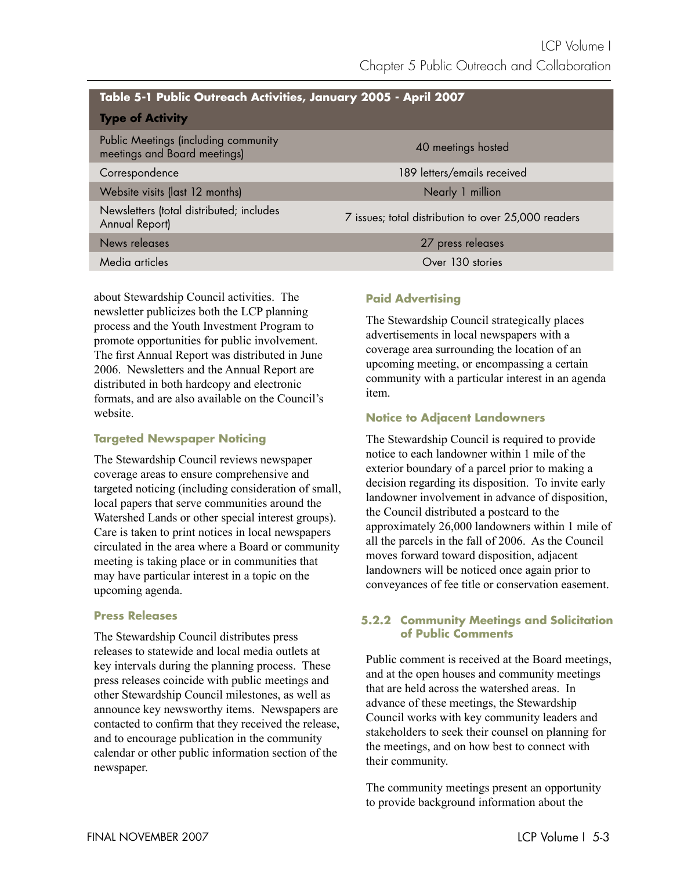| Table 5-1 Public Outreach Activities, January 2005 - April 2007      |                                                     |  |  |  |
|----------------------------------------------------------------------|-----------------------------------------------------|--|--|--|
| <b>Type of Activity</b>                                              |                                                     |  |  |  |
| Public Meetings (including community<br>meetings and Board meetings) | 40 meetings hosted                                  |  |  |  |
| Correspondence                                                       | 189 letters/emails received                         |  |  |  |
| Website visits (last 12 months)                                      | Nearly 1 million                                    |  |  |  |
| Newsletters (total distributed; includes<br>Annual Report)           | 7 issues; total distribution to over 25,000 readers |  |  |  |
| News releases                                                        | 27 press releases                                   |  |  |  |
| Media articles                                                       | Over 130 stories                                    |  |  |  |

about Stewardship Council activities. The newsletter publicizes both the LCP planning process and the Youth Investment Program to promote opportunities for public involvement. The first Annual Report was distributed in June 2006. Newsletters and the Annual Report are distributed in both hardcopy and electronic formats, and are also available on the Council's website.

## **Targeted Newspaper Noticing**

The Stewardship Council reviews newspaper coverage areas to ensure comprehensive and targeted noticing (including consideration of small, local papers that serve communities around the Watershed Lands or other special interest groups). Care is taken to print notices in local newspapers circulated in the area where a Board or community meeting is taking place or in communities that may have particular interest in a topic on the upcoming agenda.

## **Press Releases**

The Stewardship Council distributes press releases to statewide and local media outlets at key intervals during the planning process. These press releases coincide with public meetings and other Stewardship Council milestones, as well as announce key newsworthy items. Newspapers are contacted to confirm that they received the release, and to encourage publication in the community calendar or other public information section of the newspaper.

# **Paid Advertising**

The Stewardship Council strategically places advertisements in local newspapers with a coverage area surrounding the location of an upcoming meeting, or encompassing a certain community with a particular interest in an agenda item.

# **Notice to Adjacent Landowners**

The Stewardship Council is required to provide notice to each landowner within 1 mile of the exterior boundary of a parcel prior to making a decision regarding its disposition. To invite early landowner involvement in advance of disposition, the Council distributed a postcard to the approximately 26,000 landowners within 1 mile of all the parcels in the fall of 2006. As the Council moves forward toward disposition, adjacent landowners will be noticed once again prior to conveyances of fee title or conservation easement.

## **5.2.2 Community Meetings and Solicitation of Public Comments**

Public comment is received at the Board meetings, and at the open houses and community meetings that are held across the watershed areas. In advance of these meetings, the Stewardship Council works with key community leaders and stakeholders to seek their counsel on planning for the meetings, and on how best to connect with their community.

The community meetings present an opportunity to provide background information about the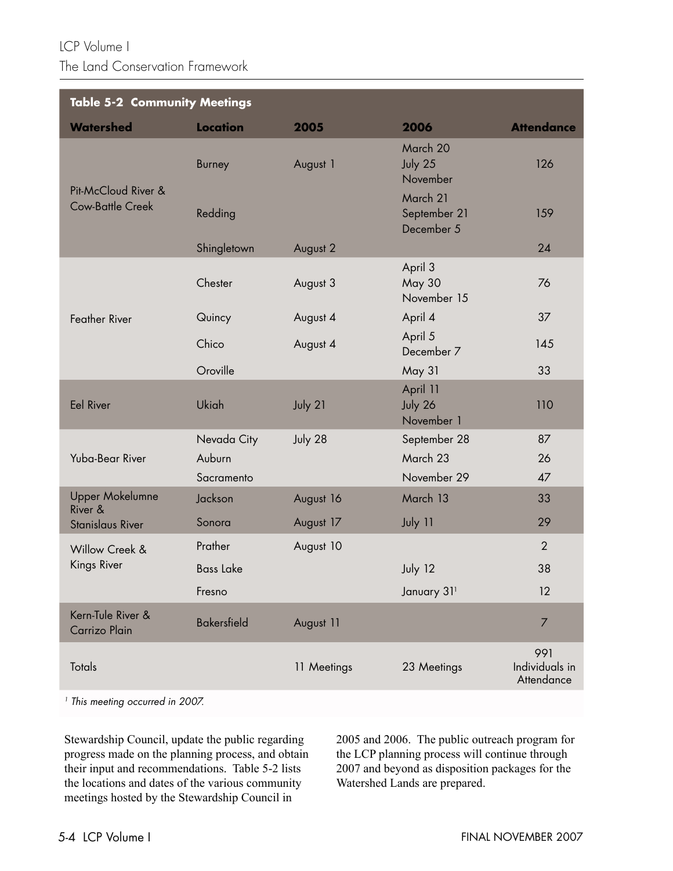LCP Volume I The Land Conservation Framework

| <b>Table 5-2 Community Meetings</b>            |                    |             |                                         |                                     |  |  |
|------------------------------------------------|--------------------|-------------|-----------------------------------------|-------------------------------------|--|--|
| <b>Watershed</b>                               | <b>Location</b>    | 2005        | 2006                                    | <b>Attendance</b>                   |  |  |
| Pit-McCloud River &<br><b>Cow-Battle Creek</b> | <b>Burney</b>      | August 1    | March 20<br>July 25<br>November         | 126                                 |  |  |
|                                                | Redding            |             | March 21<br>September 21<br>December 5  | 159                                 |  |  |
|                                                | Shingletown        | August 2    |                                         | 24                                  |  |  |
| <b>Feather River</b>                           | Chester            | August 3    | April 3<br><b>May 30</b><br>November 15 | 76                                  |  |  |
|                                                | Quincy             | August 4    | April 4                                 | 37                                  |  |  |
|                                                | Chico              | August 4    | April 5<br>December 7                   | 145                                 |  |  |
|                                                | Oroville           |             | May 31                                  | 33                                  |  |  |
| <b>Eel River</b>                               | <b>Ukiah</b>       | July 21     | April 11<br>July 26<br>November 1       | 110                                 |  |  |
| Yuba-Bear River                                | Nevada City        | July 28     | September 28                            | 87                                  |  |  |
|                                                | Auburn             |             | March 23                                | 26                                  |  |  |
|                                                | Sacramento         |             | November 29                             | 47                                  |  |  |
| <b>Upper Mokelumne</b><br>River &              | Jackson            | August 16   | March 13                                | 33                                  |  |  |
| <b>Stanislaus River</b>                        | Sonora             | August 17   | July 11                                 | 29                                  |  |  |
| Willow Creek &<br>Kings River                  | Prather            | August 10   |                                         | $\overline{2}$                      |  |  |
|                                                | <b>Bass Lake</b>   |             | July 12                                 | 38                                  |  |  |
|                                                | Fresno             |             | January 311                             | 12                                  |  |  |
| Kern-Tule River &<br>Carrizo Plain             | <b>Bakersfield</b> | August 11   |                                         | 7                                   |  |  |
| <b>Totals</b>                                  |                    | 11 Meetings | 23 Meetings                             | 991<br>Individuals in<br>Attendance |  |  |

<sup>1</sup> This meeting occurred in 2007.

Stewardship Council, update the public regarding progress made on the planning process, and obtain their input and recommendations. Table 5-2 lists the locations and dates of the various community meetings hosted by the Stewardship Council in

2005 and 2006. The public outreach program for the LCP planning process will continue through 2007 and beyond as disposition packages for the Watershed Lands are prepared.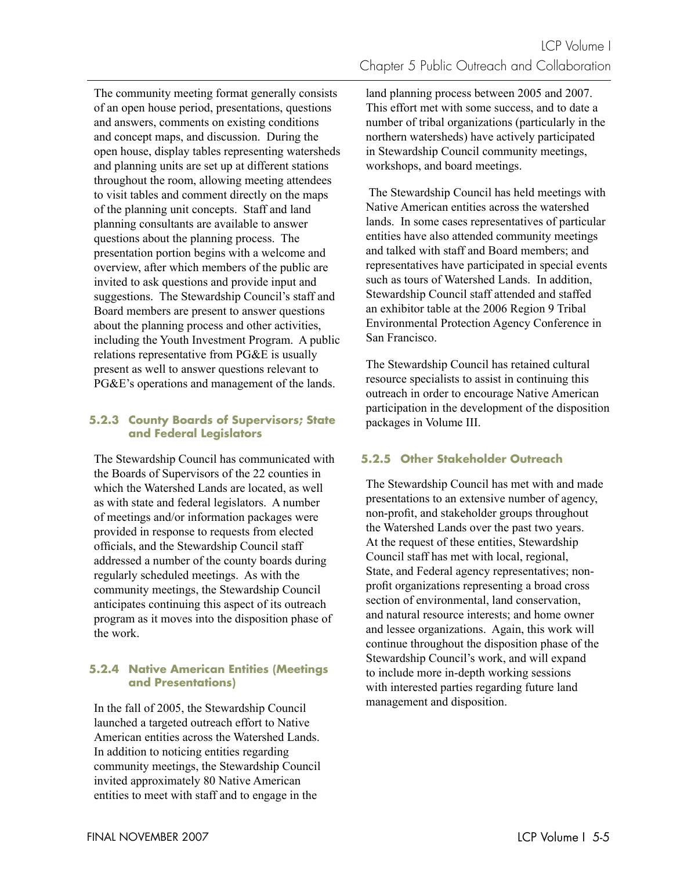The community meeting format generally consists of an open house period, presentations, questions and answers, comments on existing conditions and concept maps, and discussion. During the open house, display tables representing watersheds and planning units are set up at different stations throughout the room, allowing meeting attendees to visit tables and comment directly on the maps of the planning unit concepts. Staff and land planning consultants are available to answer questions about the planning process. The presentation portion begins with a welcome and overview, after which members of the public are invited to ask questions and provide input and suggestions. The Stewardship Council's staff and Board members are present to answer questions about the planning process and other activities, including the Youth Investment Program. A public relations representative from PG&E is usually present as well to answer questions relevant to PG&E's operations and management of the lands.

### **5.2.3 County Boards of Supervisors; State and Federal Legislators**

The Stewardship Council has communicated with the Boards of Supervisors of the 22 counties in which the Watershed Lands are located, as well as with state and federal legislators. A number of meetings and/or information packages were provided in response to requests from elected officials, and the Stewardship Council staff addressed a number of the county boards during regularly scheduled meetings. As with the community meetings, the Stewardship Council anticipates continuing this aspect of its outreach program as it moves into the disposition phase of the work.

### **5.2.4 Native American Entities (Meetings and Presentations)**

In the fall of 2005, the Stewardship Council launched a targeted outreach effort to Native American entities across the Watershed Lands. In addition to noticing entities regarding community meetings, the Stewardship Council invited approximately 80 Native American entities to meet with staff and to engage in the

land planning process between 2005 and 2007. This effort met with some success, and to date a number of tribal organizations (particularly in the northern watersheds) have actively participated in Stewardship Council community meetings, workshops, and board meetings.

 The Stewardship Council has held meetings with Native American entities across the watershed lands. In some cases representatives of particular entities have also attended community meetings and talked with staff and Board members; and representatives have participated in special events such as tours of Watershed Lands. In addition, Stewardship Council staff attended and staffed an exhibitor table at the 2006 Region 9 Tribal Environmental Protection Agency Conference in San Francisco.

The Stewardship Council has retained cultural resource specialists to assist in continuing this outreach in order to encourage Native American participation in the development of the disposition packages in Volume III.

## **5.2.5 Other Stakeholder Outreach**

The Stewardship Council has met with and made presentations to an extensive number of agency, non-profit, and stakeholder groups throughout the Watershed Lands over the past two years. At the request of these entities, Stewardship Council staff has met with local, regional, State, and Federal agency representatives; nonprofit organizations representing a broad cross section of environmental, land conservation, and natural resource interests; and home owner and lessee organizations. Again, this work will continue throughout the disposition phase of the Stewardship Council's work, and will expand to include more in-depth working sessions with interested parties regarding future land management and disposition.